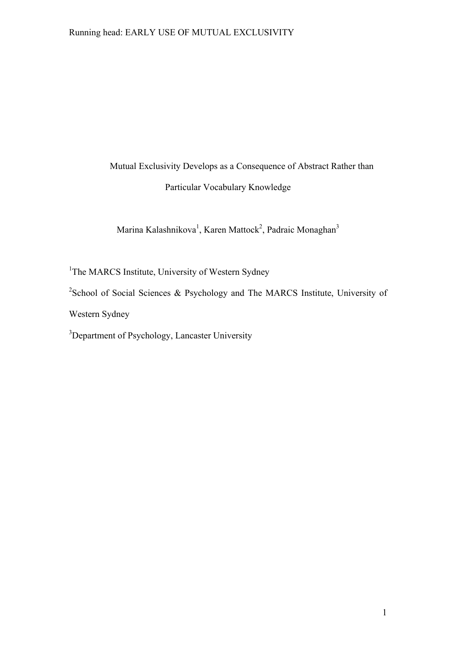# Mutual Exclusivity Develops as a Consequence of Abstract Rather than Particular Vocabulary Knowledge

Marina Kalashnikova<sup>1</sup>, Karen Mattock<sup>2</sup>, Padraic Monaghan<sup>3</sup>

<sup>1</sup>The MARCS Institute, University of Western Sydney

<sup>2</sup>School of Social Sciences & Psychology and The MARCS Institute, University of

Western Sydney

<sup>3</sup>Department of Psychology, Lancaster University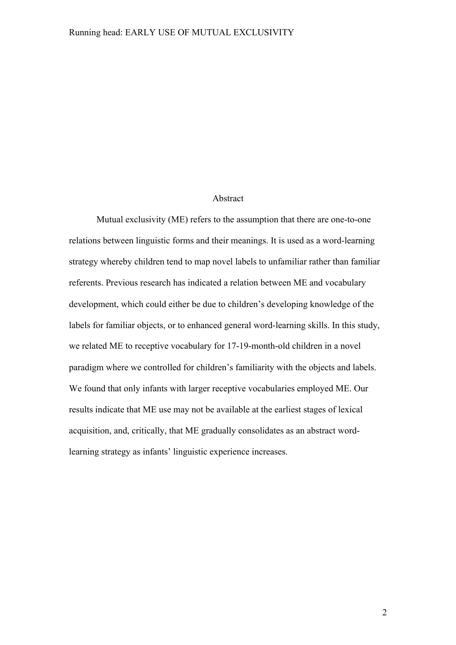### Abstract

Mutual exclusivity (ME) refers to the assumption that there are one-to-one relations between linguistic forms and their meanings. It is used as a word-learning strategy whereby children tend to map novel labels to unfamiliar rather than familiar referents. Previous research has indicated a relation between ME and vocabulary development, which could either be due to children's developing knowledge of the labels for familiar objects, or to enhanced general word-learning skills. In this study, we related ME to receptive vocabulary for 17-19-month-old children in a novel paradigm where we controlled for children's familiarity with the objects and labels. We found that only infants with larger receptive vocabularies employed ME. Our results indicate that ME use may not be available at the earliest stages of lexical acquisition, and, critically, that ME gradually consolidates as an abstract wordlearning strategy as infants' linguistic experience increases.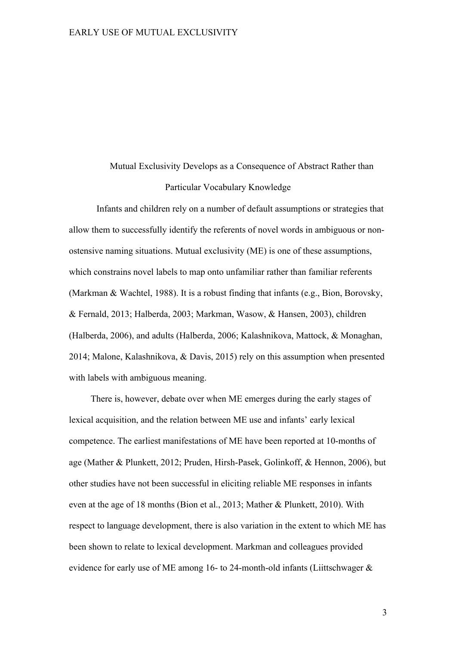## Mutual Exclusivity Develops as a Consequence of Abstract Rather than Particular Vocabulary Knowledge

Infants and children rely on a number of default assumptions or strategies that allow them to successfully identify the referents of novel words in ambiguous or nonostensive naming situations. Mutual exclusivity (ME) is one of these assumptions, which constrains novel labels to map onto unfamiliar rather than familiar referents (Markman & Wachtel, 1988). It is a robust finding that infants (e.g., Bion, Borovsky, & Fernald, 2013; Halberda, 2003; Markman, Wasow, & Hansen, 2003), children (Halberda, 2006), and adults (Halberda, 2006; Kalashnikova, Mattock, & Monaghan, 2014; Malone, Kalashnikova, & Davis, 2015) rely on this assumption when presented with labels with ambiguous meaning.

There is, however, debate over when ME emerges during the early stages of lexical acquisition, and the relation between ME use and infants' early lexical competence. The earliest manifestations of ME have been reported at 10-months of age (Mather & Plunkett, 2012; Pruden, Hirsh-Pasek, Golinkoff, & Hennon, 2006), but other studies have not been successful in eliciting reliable ME responses in infants even at the age of 18 months (Bion et al., 2013; Mather & Plunkett, 2010). With respect to language development, there is also variation in the extent to which ME has been shown to relate to lexical development. Markman and colleagues provided evidence for early use of ME among 16- to 24-month-old infants (Liittschwager &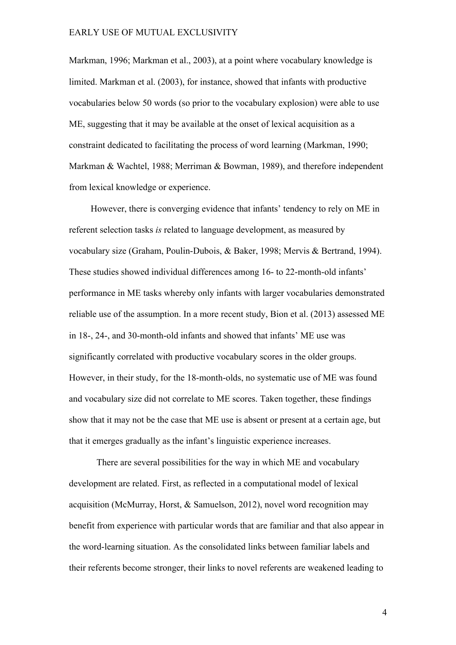Markman, 1996; Markman et al., 2003), at a point where vocabulary knowledge is limited. Markman et al. (2003), for instance, showed that infants with productive vocabularies below 50 words (so prior to the vocabulary explosion) were able to use ME, suggesting that it may be available at the onset of lexical acquisition as a constraint dedicated to facilitating the process of word learning (Markman, 1990; Markman & Wachtel, 1988; Merriman & Bowman, 1989), and therefore independent from lexical knowledge or experience.

However, there is converging evidence that infants' tendency to rely on ME in referent selection tasks *is* related to language development, as measured by vocabulary size (Graham, Poulin-Dubois, & Baker, 1998; Mervis & Bertrand, 1994). These studies showed individual differences among 16- to 22-month-old infants' performance in ME tasks whereby only infants with larger vocabularies demonstrated reliable use of the assumption. In a more recent study, Bion et al. (2013) assessed ME in 18-, 24-, and 30-month-old infants and showed that infants' ME use was significantly correlated with productive vocabulary scores in the older groups. However, in their study, for the 18-month-olds, no systematic use of ME was found and vocabulary size did not correlate to ME scores. Taken together, these findings show that it may not be the case that ME use is absent or present at a certain age, but that it emerges gradually as the infant's linguistic experience increases.

There are several possibilities for the way in which ME and vocabulary development are related. First, as reflected in a computational model of lexical acquisition (McMurray, Horst, & Samuelson, 2012), novel word recognition may benefit from experience with particular words that are familiar and that also appear in the word-learning situation. As the consolidated links between familiar labels and their referents become stronger, their links to novel referents are weakened leading to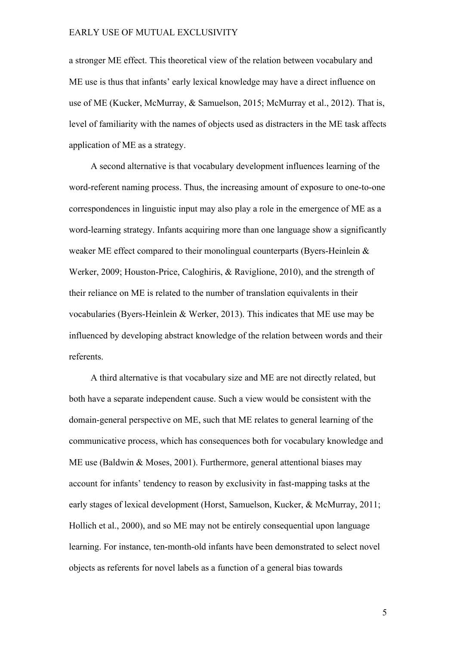a stronger ME effect. This theoretical view of the relation between vocabulary and ME use is thus that infants' early lexical knowledge may have a direct influence on use of ME (Kucker, McMurray, & Samuelson, 2015; McMurray et al., 2012). That is, level of familiarity with the names of objects used as distracters in the ME task affects application of ME as a strategy.

A second alternative is that vocabulary development influences learning of the word-referent naming process. Thus, the increasing amount of exposure to one-to-one correspondences in linguistic input may also play a role in the emergence of ME as a word-learning strategy. Infants acquiring more than one language show a significantly weaker ME effect compared to their monolingual counterparts (Byers-Heinlein  $\&$ Werker, 2009; Houston-Price, Caloghiris, & Raviglione, 2010), and the strength of their reliance on ME is related to the number of translation equivalents in their vocabularies (Byers-Heinlein & Werker, 2013). This indicates that ME use may be influenced by developing abstract knowledge of the relation between words and their referents.

A third alternative is that vocabulary size and ME are not directly related, but both have a separate independent cause. Such a view would be consistent with the domain-general perspective on ME, such that ME relates to general learning of the communicative process, which has consequences both for vocabulary knowledge and ME use (Baldwin & Moses, 2001). Furthermore, general attentional biases may account for infants' tendency to reason by exclusivity in fast-mapping tasks at the early stages of lexical development (Horst, Samuelson, Kucker, & McMurray, 2011; Hollich et al., 2000), and so ME may not be entirely consequential upon language learning. For instance, ten-month-old infants have been demonstrated to select novel objects as referents for novel labels as a function of a general bias towards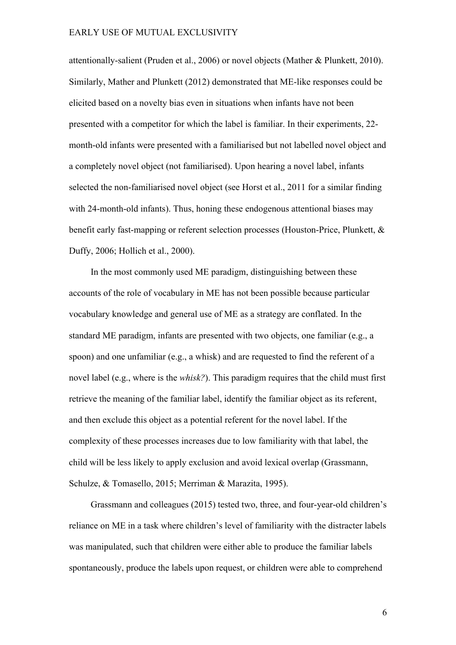attentionally-salient (Pruden et al., 2006) or novel objects (Mather & Plunkett, 2010). Similarly, Mather and Plunkett (2012) demonstrated that ME-like responses could be elicited based on a novelty bias even in situations when infants have not been presented with a competitor for which the label is familiar. In their experiments, 22 month-old infants were presented with a familiarised but not labelled novel object and a completely novel object (not familiarised). Upon hearing a novel label, infants selected the non-familiarised novel object (see Horst et al., 2011 for a similar finding with 24-month-old infants). Thus, honing these endogenous attentional biases may benefit early fast-mapping or referent selection processes (Houston-Price, Plunkett, & Duffy, 2006; Hollich et al., 2000).

In the most commonly used ME paradigm, distinguishing between these accounts of the role of vocabulary in ME has not been possible because particular vocabulary knowledge and general use of ME as a strategy are conflated. In the standard ME paradigm, infants are presented with two objects, one familiar (e.g., a spoon) and one unfamiliar (e.g., a whisk) and are requested to find the referent of a novel label (e.g., where is the *whisk?*). This paradigm requires that the child must first retrieve the meaning of the familiar label, identify the familiar object as its referent, and then exclude this object as a potential referent for the novel label. If the complexity of these processes increases due to low familiarity with that label, the child will be less likely to apply exclusion and avoid lexical overlap (Grassmann, Schulze, & Tomasello, 2015; Merriman & Marazita, 1995).

Grassmann and colleagues (2015) tested two, three, and four-year-old children's reliance on ME in a task where children's level of familiarity with the distracter labels was manipulated, such that children were either able to produce the familiar labels spontaneously, produce the labels upon request, or children were able to comprehend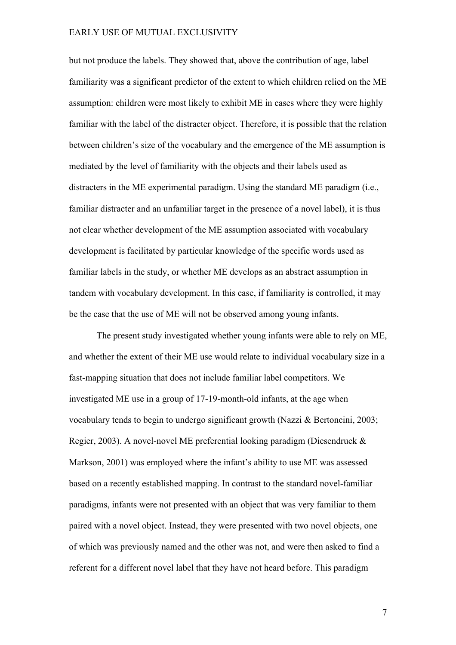but not produce the labels. They showed that, above the contribution of age, label familiarity was a significant predictor of the extent to which children relied on the ME assumption: children were most likely to exhibit ME in cases where they were highly familiar with the label of the distracter object. Therefore, it is possible that the relation between children's size of the vocabulary and the emergence of the ME assumption is mediated by the level of familiarity with the objects and their labels used as distracters in the ME experimental paradigm. Using the standard ME paradigm (i.e., familiar distracter and an unfamiliar target in the presence of a novel label), it is thus not clear whether development of the ME assumption associated with vocabulary development is facilitated by particular knowledge of the specific words used as familiar labels in the study, or whether ME develops as an abstract assumption in tandem with vocabulary development. In this case, if familiarity is controlled, it may be the case that the use of ME will not be observed among young infants.

The present study investigated whether young infants were able to rely on ME, and whether the extent of their ME use would relate to individual vocabulary size in a fast-mapping situation that does not include familiar label competitors. We investigated ME use in a group of 17-19-month-old infants, at the age when vocabulary tends to begin to undergo significant growth (Nazzi & Bertoncini, 2003; Regier, 2003). A novel-novel ME preferential looking paradigm (Diesendruck & Markson, 2001) was employed where the infant's ability to use ME was assessed based on a recently established mapping. In contrast to the standard novel-familiar paradigms, infants were not presented with an object that was very familiar to them paired with a novel object. Instead, they were presented with two novel objects, one of which was previously named and the other was not, and were then asked to find a referent for a different novel label that they have not heard before. This paradigm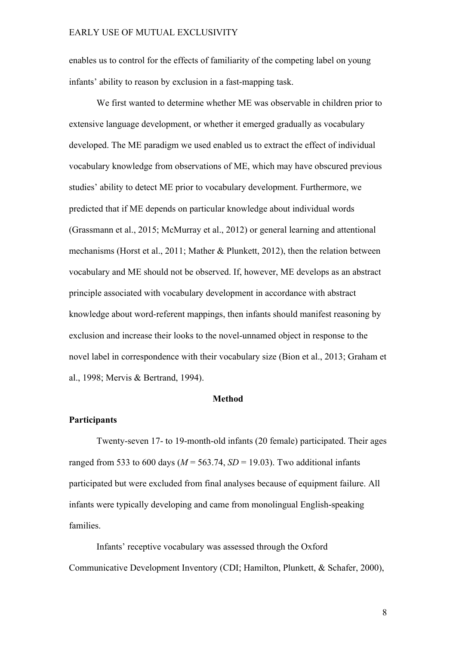enables us to control for the effects of familiarity of the competing label on young infants' ability to reason by exclusion in a fast-mapping task.

We first wanted to determine whether ME was observable in children prior to extensive language development, or whether it emerged gradually as vocabulary developed. The ME paradigm we used enabled us to extract the effect of individual vocabulary knowledge from observations of ME, which may have obscured previous studies' ability to detect ME prior to vocabulary development. Furthermore, we predicted that if ME depends on particular knowledge about individual words (Grassmann et al., 2015; McMurray et al., 2012) or general learning and attentional mechanisms (Horst et al., 2011; Mather & Plunkett, 2012), then the relation between vocabulary and ME should not be observed. If, however, ME develops as an abstract principle associated with vocabulary development in accordance with abstract knowledge about word-referent mappings, then infants should manifest reasoning by exclusion and increase their looks to the novel-unnamed object in response to the novel label in correspondence with their vocabulary size (Bion et al., 2013; Graham et al., 1998; Mervis & Bertrand, 1994).

## **Method**

#### **Participants**

Twenty-seven 17- to 19-month-old infants (20 female) participated. Their ages ranged from 533 to 600 days ( $M = 563.74$ ,  $SD = 19.03$ ). Two additional infants participated but were excluded from final analyses because of equipment failure. All infants were typically developing and came from monolingual English-speaking families.

Infants' receptive vocabulary was assessed through the Oxford Communicative Development Inventory (CDI; Hamilton, Plunkett, & Schafer, 2000),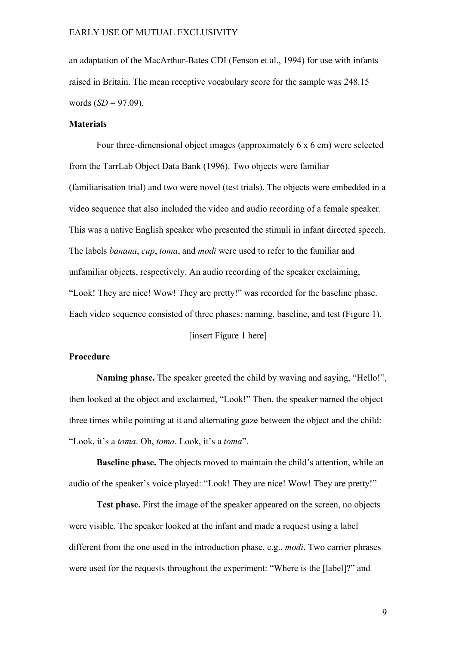an adaptation of the MacArthur-Bates CDI (Fenson et al., 1994) for use with infants raised in Britain. The mean receptive vocabulary score for the sample was 248.15 words  $(SD = 97.09)$ .

## **Materials**

Four three-dimensional object images (approximately 6 x 6 cm) were selected from the TarrLab Object Data Bank (1996). Two objects were familiar (familiarisation trial) and two were novel (test trials). The objects were embedded in a video sequence that also included the video and audio recording of a female speaker. This was a native English speaker who presented the stimuli in infant directed speech. The labels *banana*, *cup*, *toma*, and *modi* were used to refer to the familiar and unfamiliar objects, respectively. An audio recording of the speaker exclaiming, "Look! They are nice! Wow! They are pretty!" was recorded for the baseline phase. Each video sequence consisted of three phases: naming, baseline, and test (Figure 1).

[insert Figure 1 here]

## **Procedure**

**Naming phase.** The speaker greeted the child by waving and saying, "Hello!", then looked at the object and exclaimed, "Look!" Then, the speaker named the object three times while pointing at it and alternating gaze between the object and the child: "Look, it's a *toma*. Oh, *toma*. Look, it's a *toma*".

**Baseline phase.** The objects moved to maintain the child's attention, while an audio of the speaker's voice played: "Look! They are nice! Wow! They are pretty!"

**Test phase.** First the image of the speaker appeared on the screen, no objects were visible. The speaker looked at the infant and made a request using a label different from the one used in the introduction phase, e.g., *modi*. Two carrier phrases were used for the requests throughout the experiment: "Where is the [label]?" and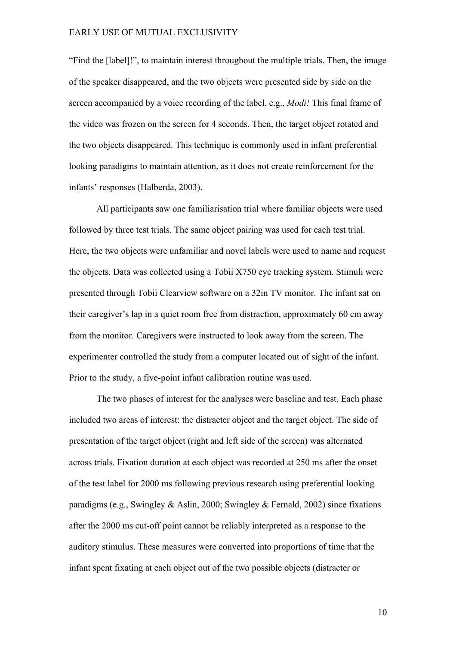"Find the [label]!", to maintain interest throughout the multiple trials. Then, the image of the speaker disappeared, and the two objects were presented side by side on the screen accompanied by a voice recording of the label, e.g., *Modi!* This final frame of the video was frozen on the screen for 4 seconds. Then, the target object rotated and the two objects disappeared. This technique is commonly used in infant preferential looking paradigms to maintain attention, as it does not create reinforcement for the infants' responses (Halberda, 2003).

All participants saw one familiarisation trial where familiar objects were used followed by three test trials. The same object pairing was used for each test trial. Here, the two objects were unfamiliar and novel labels were used to name and request the objects. Data was collected using a Tobii X750 eye tracking system. Stimuli were presented through Tobii Clearview software on a 32in TV monitor. The infant sat on their caregiver's lap in a quiet room free from distraction, approximately 60 cm away from the monitor. Caregivers were instructed to look away from the screen. The experimenter controlled the study from a computer located out of sight of the infant. Prior to the study, a five-point infant calibration routine was used.

The two phases of interest for the analyses were baseline and test. Each phase included two areas of interest: the distracter object and the target object. The side of presentation of the target object (right and left side of the screen) was alternated across trials. Fixation duration at each object was recorded at 250 ms after the onset of the test label for 2000 ms following previous research using preferential looking paradigms (e.g., Swingley & Aslin, 2000; Swingley & Fernald, 2002) since fixations after the 2000 ms cut-off point cannot be reliably interpreted as a response to the auditory stimulus. These measures were converted into proportions of time that the infant spent fixating at each object out of the two possible objects (distracter or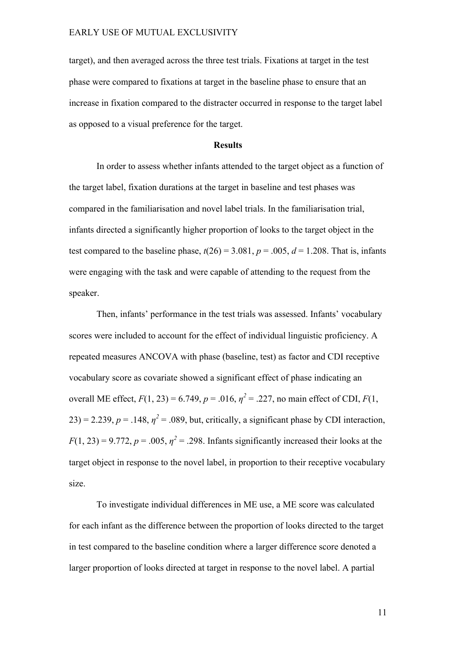target), and then averaged across the three test trials. Fixations at target in the test phase were compared to fixations at target in the baseline phase to ensure that an increase in fixation compared to the distracter occurred in response to the target label as opposed to a visual preference for the target.

## **Results**

In order to assess whether infants attended to the target object as a function of the target label, fixation durations at the target in baseline and test phases was compared in the familiarisation and novel label trials. In the familiarisation trial, infants directed a significantly higher proportion of looks to the target object in the test compared to the baseline phase,  $t(26) = 3.081$ ,  $p = .005$ ,  $d = 1.208$ . That is, infants were engaging with the task and were capable of attending to the request from the speaker.

Then, infants' performance in the test trials was assessed. Infants' vocabulary scores were included to account for the effect of individual linguistic proficiency. A repeated measures ANCOVA with phase (baseline, test) as factor and CDI receptive vocabulary score as covariate showed a significant effect of phase indicating an overall ME effect,  $F(1, 23) = 6.749$ ,  $p = .016$ ,  $p^2 = .227$ , no main effect of CDI,  $F(1, p^2)$  $23$ ) = 2.239,  $p = 0.148$ ,  $\eta^2 = 0.089$ , but, critically, a significant phase by CDI interaction,  $F(1, 23) = 9.772$ ,  $p = .005$ ,  $\eta^2 = .298$ . Infants significantly increased their looks at the target object in response to the novel label, in proportion to their receptive vocabulary size.

To investigate individual differences in ME use, a ME score was calculated for each infant as the difference between the proportion of looks directed to the target in test compared to the baseline condition where a larger difference score denoted a larger proportion of looks directed at target in response to the novel label. A partial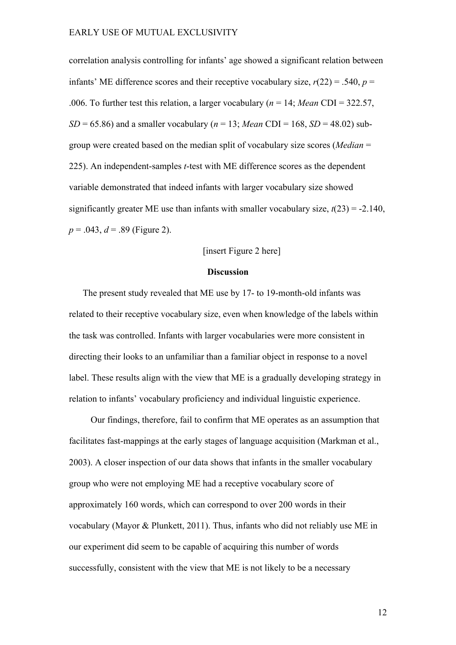correlation analysis controlling for infants' age showed a significant relation between infants' ME difference scores and their receptive vocabulary size,  $r(22) = .540$ ,  $p =$ .006. To further test this relation, a larger vocabulary (*n* = 14; *Mean* CDI = 322.57,  $SD = 65.86$ ) and a smaller vocabulary ( $n = 13$ ; *Mean* CDI = 168,  $SD = 48.02$ ) subgroup were created based on the median split of vocabulary size scores (*Median* = 225). An independent-samples *t*-test with ME difference scores as the dependent variable demonstrated that indeed infants with larger vocabulary size showed significantly greater ME use than infants with smaller vocabulary size,  $t(23) = -2.140$ , *p* = .043, *d* = .89 (Figure 2).

## [insert Figure 2 here]

## **Discussion**

The present study revealed that ME use by 17- to 19-month-old infants was related to their receptive vocabulary size, even when knowledge of the labels within the task was controlled. Infants with larger vocabularies were more consistent in directing their looks to an unfamiliar than a familiar object in response to a novel label. These results align with the view that ME is a gradually developing strategy in relation to infants' vocabulary proficiency and individual linguistic experience.

Our findings, therefore, fail to confirm that ME operates as an assumption that facilitates fast-mappings at the early stages of language acquisition (Markman et al., 2003). A closer inspection of our data shows that infants in the smaller vocabulary group who were not employing ME had a receptive vocabulary score of approximately 160 words, which can correspond to over 200 words in their vocabulary (Mayor & Plunkett, 2011). Thus, infants who did not reliably use ME in our experiment did seem to be capable of acquiring this number of words successfully, consistent with the view that ME is not likely to be a necessary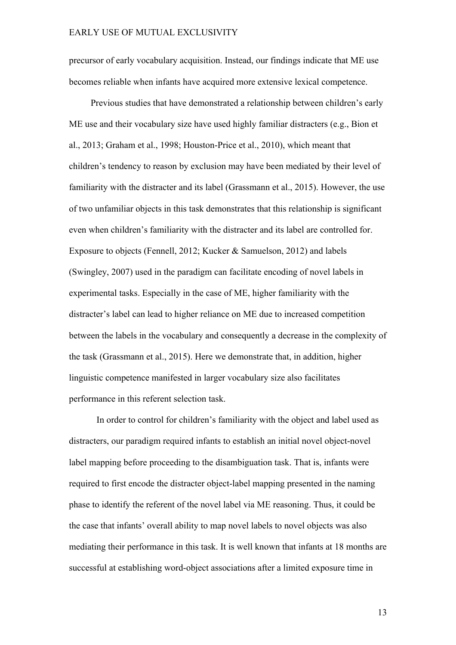precursor of early vocabulary acquisition. Instead, our findings indicate that ME use becomes reliable when infants have acquired more extensive lexical competence.

Previous studies that have demonstrated a relationship between children's early ME use and their vocabulary size have used highly familiar distracters (e.g., Bion et al., 2013; Graham et al., 1998; Houston-Price et al., 2010), which meant that children's tendency to reason by exclusion may have been mediated by their level of familiarity with the distracter and its label (Grassmann et al., 2015). However, the use of two unfamiliar objects in this task demonstrates that this relationship is significant even when children's familiarity with the distracter and its label are controlled for. Exposure to objects (Fennell, 2012; Kucker & Samuelson, 2012) and labels (Swingley, 2007) used in the paradigm can facilitate encoding of novel labels in experimental tasks. Especially in the case of ME, higher familiarity with the distracter's label can lead to higher reliance on ME due to increased competition between the labels in the vocabulary and consequently a decrease in the complexity of the task (Grassmann et al., 2015). Here we demonstrate that, in addition, higher linguistic competence manifested in larger vocabulary size also facilitates performance in this referent selection task.

In order to control for children's familiarity with the object and label used as distracters, our paradigm required infants to establish an initial novel object-novel label mapping before proceeding to the disambiguation task. That is, infants were required to first encode the distracter object-label mapping presented in the naming phase to identify the referent of the novel label via ME reasoning. Thus, it could be the case that infants' overall ability to map novel labels to novel objects was also mediating their performance in this task. It is well known that infants at 18 months are successful at establishing word-object associations after a limited exposure time in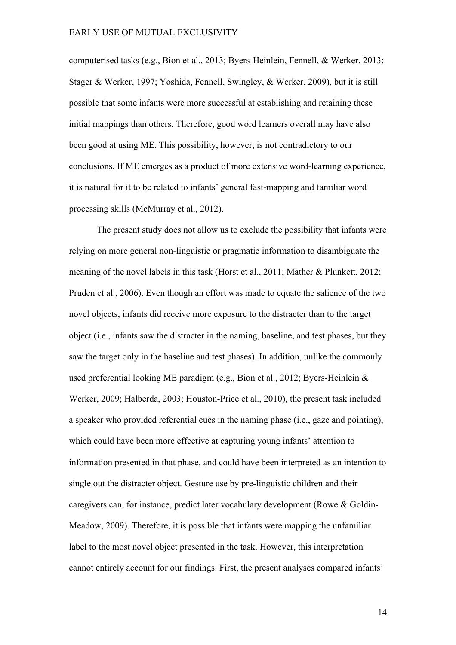computerised tasks (e.g., Bion et al., 2013; Byers-Heinlein, Fennell, & Werker, 2013; Stager & Werker, 1997; Yoshida, Fennell, Swingley, & Werker, 2009), but it is still possible that some infants were more successful at establishing and retaining these initial mappings than others. Therefore, good word learners overall may have also been good at using ME. This possibility, however, is not contradictory to our conclusions. If ME emerges as a product of more extensive word-learning experience, it is natural for it to be related to infants' general fast-mapping and familiar word processing skills (McMurray et al., 2012).

The present study does not allow us to exclude the possibility that infants were relying on more general non-linguistic or pragmatic information to disambiguate the meaning of the novel labels in this task (Horst et al., 2011; Mather & Plunkett, 2012; Pruden et al., 2006). Even though an effort was made to equate the salience of the two novel objects, infants did receive more exposure to the distracter than to the target object (i.e., infants saw the distracter in the naming, baseline, and test phases, but they saw the target only in the baseline and test phases). In addition, unlike the commonly used preferential looking ME paradigm (e.g., Bion et al., 2012; Byers-Heinlein & Werker, 2009; Halberda, 2003; Houston-Price et al., 2010), the present task included a speaker who provided referential cues in the naming phase (i.e., gaze and pointing), which could have been more effective at capturing young infants' attention to information presented in that phase, and could have been interpreted as an intention to single out the distracter object. Gesture use by pre-linguistic children and their caregivers can, for instance, predict later vocabulary development (Rowe & Goldin-Meadow, 2009). Therefore, it is possible that infants were mapping the unfamiliar label to the most novel object presented in the task. However, this interpretation cannot entirely account for our findings. First, the present analyses compared infants'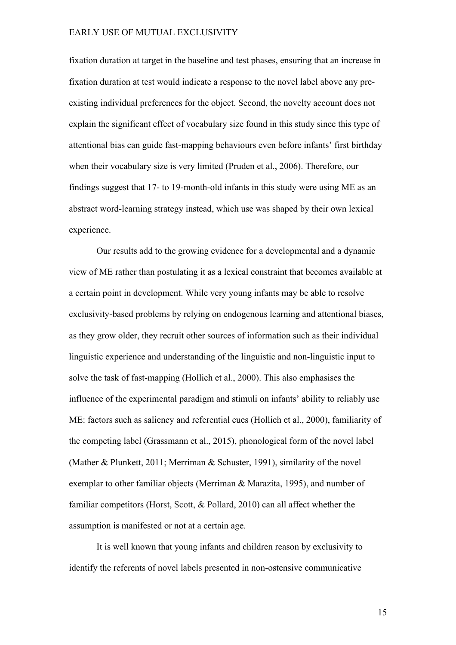fixation duration at target in the baseline and test phases, ensuring that an increase in fixation duration at test would indicate a response to the novel label above any preexisting individual preferences for the object. Second, the novelty account does not explain the significant effect of vocabulary size found in this study since this type of attentional bias can guide fast-mapping behaviours even before infants' first birthday when their vocabulary size is very limited (Pruden et al., 2006). Therefore, our findings suggest that 17- to 19-month-old infants in this study were using ME as an abstract word-learning strategy instead, which use was shaped by their own lexical experience.

Our results add to the growing evidence for a developmental and a dynamic view of ME rather than postulating it as a lexical constraint that becomes available at a certain point in development. While very young infants may be able to resolve exclusivity-based problems by relying on endogenous learning and attentional biases, as they grow older, they recruit other sources of information such as their individual linguistic experience and understanding of the linguistic and non-linguistic input to solve the task of fast-mapping (Hollich et al., 2000). This also emphasises the influence of the experimental paradigm and stimuli on infants' ability to reliably use ME: factors such as saliency and referential cues (Hollich et al., 2000), familiarity of the competing label (Grassmann et al., 2015), phonological form of the novel label (Mather & Plunkett, 2011; Merriman & Schuster, 1991), similarity of the novel exemplar to other familiar objects (Merriman & Marazita, 1995), and number of familiar competitors (Horst, Scott, & Pollard, 2010) can all affect whether the assumption is manifested or not at a certain age.

It is well known that young infants and children reason by exclusivity to identify the referents of novel labels presented in non-ostensive communicative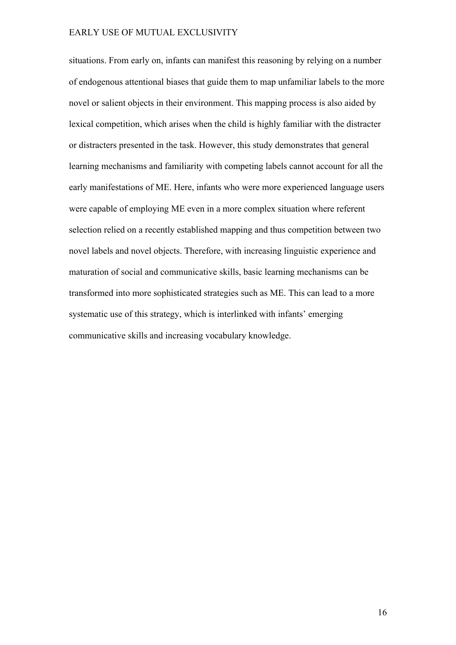situations. From early on, infants can manifest this reasoning by relying on a number of endogenous attentional biases that guide them to map unfamiliar labels to the more novel or salient objects in their environment. This mapping process is also aided by lexical competition, which arises when the child is highly familiar with the distracter or distracters presented in the task. However, this study demonstrates that general learning mechanisms and familiarity with competing labels cannot account for all the early manifestations of ME. Here, infants who were more experienced language users were capable of employing ME even in a more complex situation where referent selection relied on a recently established mapping and thus competition between two novel labels and novel objects. Therefore, with increasing linguistic experience and maturation of social and communicative skills, basic learning mechanisms can be transformed into more sophisticated strategies such as ME. This can lead to a more systematic use of this strategy, which is interlinked with infants' emerging communicative skills and increasing vocabulary knowledge.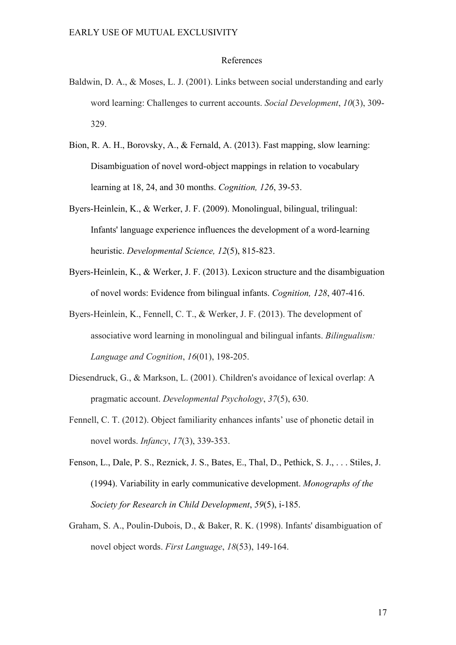#### References

- Baldwin, D. A., & Moses, L. J. (2001). Links between social understanding and early word learning: Challenges to current accounts. *Social Development*, *10*(3), 309- 329.
- Bion, R. A. H., Borovsky, A., & Fernald, A. (2013). Fast mapping, slow learning: Disambiguation of novel word-object mappings in relation to vocabulary learning at 18, 24, and 30 months. *Cognition, 126*, 39-53.
- Byers-Heinlein, K., & Werker, J. F. (2009). Monolingual, bilingual, trilingual: Infants' language experience influences the development of a word-learning heuristic. *Developmental Science, 12*(5), 815-823.
- Byers-Heinlein, K., & Werker, J. F. (2013). Lexicon structure and the disambiguation of novel words: Evidence from bilingual infants. *Cognition, 128*, 407-416.
- Byers-Heinlein, K., Fennell, C. T., & Werker, J. F. (2013). The development of associative word learning in monolingual and bilingual infants. *Bilingualism: Language and Cognition*, *16*(01), 198-205.
- Diesendruck, G., & Markson, L. (2001). Children's avoidance of lexical overlap: A pragmatic account. *Developmental Psychology*, *37*(5), 630.
- Fennell, C. T. (2012). Object familiarity enhances infants' use of phonetic detail in novel words. *Infancy*, *17*(3), 339-353.
- Fenson, L., Dale, P. S., Reznick, J. S., Bates, E., Thal, D., Pethick, S. J., . . . Stiles, J. (1994). Variability in early communicative development. *Monographs of the Society for Research in Child Development*, *59*(5), i-185.
- Graham, S. A., Poulin-Dubois, D., & Baker, R. K. (1998). Infants' disambiguation of novel object words. *First Language*, *18*(53), 149-164.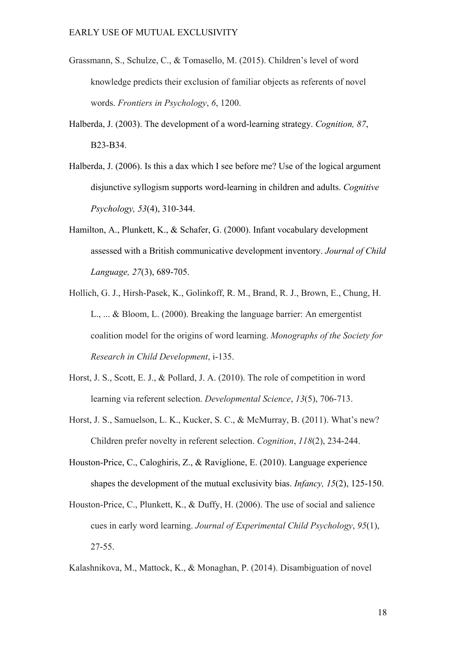- Grassmann, S., Schulze, C., & Tomasello, M. (2015). Children's level of word knowledge predicts their exclusion of familiar objects as referents of novel words. *Frontiers in Psychology*, *6*, 1200.
- Halberda, J. (2003). The development of a word-learning strategy. *Cognition, 87*, B23-B34.
- Halberda, J. (2006). Is this a dax which I see before me? Use of the logical argument disjunctive syllogism supports word-learning in children and adults. *Cognitive Psychology, 53*(4), 310-344.
- Hamilton, A., Plunkett, K., & Schafer, G. (2000). Infant vocabulary development assessed with a British communicative development inventory. *Journal of Child Language, 27*(3), 689-705.
- Hollich, G. J., Hirsh-Pasek, K., Golinkoff, R. M., Brand, R. J., Brown, E., Chung, H. L., ... & Bloom, L. (2000). Breaking the language barrier: An emergentist coalition model for the origins of word learning. *Monographs of the Society for Research in Child Development*, i-135.
- Horst, J. S., Scott, E. J., & Pollard, J. A. (2010). The role of competition in word learning via referent selection. *Developmental Science*, *13*(5), 706-713.
- Horst, J. S., Samuelson, L. K., Kucker, S. C., & McMurray, B. (2011). What's new? Children prefer novelty in referent selection. *Cognition*, *118*(2), 234-244.
- Houston-Price, C., Caloghiris, Z., & Raviglione, E. (2010). Language experience shapes the development of the mutual exclusivity bias. *Infancy, 15*(2), 125-150.
- Houston-Price, C., Plunkett, K., & Duffy, H. (2006). The use of social and salience cues in early word learning. *Journal of Experimental Child Psychology*, *95*(1), 27-55.
- Kalashnikova, M., Mattock, K., & Monaghan, P. (2014). Disambiguation of novel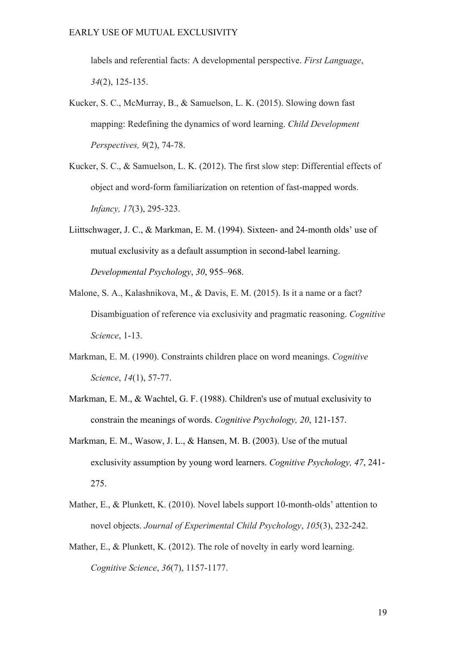labels and referential facts: A developmental perspective. *First Language*, *34*(2), 125-135.

- Kucker, S. C., McMurray, B., & Samuelson, L. K. (2015). Slowing down fast mapping: Redefining the dynamics of word learning. *Child Development Perspectives, 9*(2), 74-78.
- Kucker, S. C., & Samuelson, L. K. (2012). The first slow step: Differential effects of object and word-form familiarization on retention of fast-mapped words. *Infancy, 17*(3), 295-323.
- Liittschwager, J. C., & Markman, E. M. (1994). Sixteen- and 24-month olds' use of mutual exclusivity as a default assumption in second-label learning. *Developmental Psychology*, *30*, 955–968.
- Malone, S. A., Kalashnikova, M., & Davis, E. M. (2015). Is it a name or a fact? Disambiguation of reference via exclusivity and pragmatic reasoning. *Cognitive Science*, 1-13.
- Markman, E. M. (1990). Constraints children place on word meanings. *Cognitive Science*, *14*(1), 57-77.
- Markman, E. M., & Wachtel, G. F. (1988). Children's use of mutual exclusivity to constrain the meanings of words. *Cognitive Psychology, 20*, 121-157.
- Markman, E. M., Wasow, J. L., & Hansen, M. B. (2003). Use of the mutual exclusivity assumption by young word learners. *Cognitive Psychology, 47*, 241- 275.
- Mather, E., & Plunkett, K. (2010). Novel labels support 10-month-olds' attention to novel objects. *Journal of Experimental Child Psychology*, *105*(3), 232-242.
- Mather, E., & Plunkett, K. (2012). The role of novelty in early word learning. *Cognitive Science*, *36*(7), 1157-1177.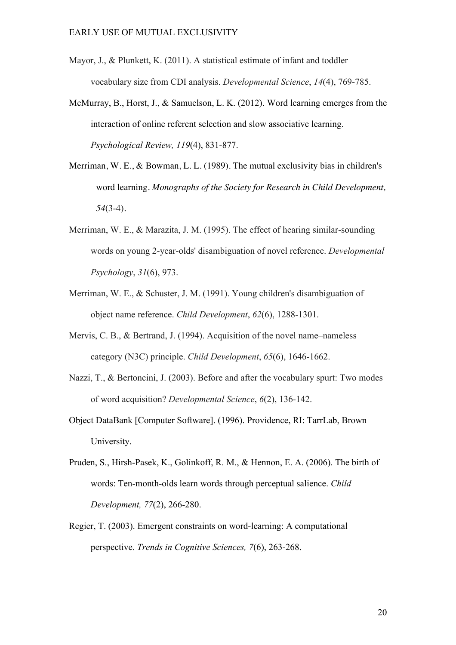- Mayor, J., & Plunkett, K. (2011). A statistical estimate of infant and toddler vocabulary size from CDI analysis. *Developmental Science*, *14*(4), 769-785.
- McMurray, B., Horst, J., & Samuelson, L. K. (2012). Word learning emerges from the interaction of online referent selection and slow associative learning. *Psychological Review, 119*(4), 831-877.
- Merriman, W. E., & Bowman, L. L. (1989). The mutual exclusivity bias in children's word learning. *Monographs of the Society for Research in Child Development, 54*(3-4).
- Merriman, W. E., & Marazita, J. M. (1995). The effect of hearing similar-sounding words on young 2-year-olds' disambiguation of novel reference. *Developmental Psychology*, *31*(6), 973.
- Merriman, W. E., & Schuster, J. M. (1991). Young children's disambiguation of object name reference. *Child Development*, *62*(6), 1288-1301.
- Mervis, C. B., & Bertrand, J. (1994). Acquisition of the novel name–nameless category (N3C) principle. *Child Development*, *65*(6), 1646-1662.
- Nazzi, T., & Bertoncini, J. (2003). Before and after the vocabulary spurt: Two modes of word acquisition? *Developmental Science*, *6*(2), 136-142.
- Object DataBank [Computer Software]. (1996). Providence, RI: TarrLab, Brown University.
- Pruden, S., Hirsh-Pasek, K., Golinkoff, R. M., & Hennon, E. A. (2006). The birth of words: Ten-month-olds learn words through perceptual salience. *Child Development, 77*(2), 266-280.
- Regier, T. (2003). Emergent constraints on word-learning: A computational perspective. *Trends in Cognitive Sciences, 7*(6), 263-268.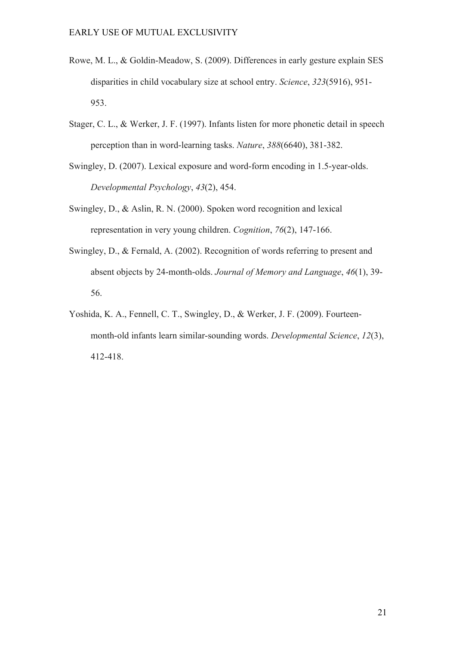- Rowe, M. L., & Goldin-Meadow, S. (2009). Differences in early gesture explain SES disparities in child vocabulary size at school entry. *Science*, *323*(5916), 951- 953.
- Stager, C. L., & Werker, J. F. (1997). Infants listen for more phonetic detail in speech perception than in word-learning tasks. *Nature*, *388*(6640), 381-382.
- Swingley, D. (2007). Lexical exposure and word-form encoding in 1.5-year-olds. *Developmental Psychology*, *43*(2), 454.
- Swingley, D., & Aslin, R. N. (2000). Spoken word recognition and lexical representation in very young children. *Cognition*, *76*(2), 147-166.
- Swingley, D., & Fernald, A. (2002). Recognition of words referring to present and absent objects by 24-month-olds. *Journal of Memory and Language*, *46*(1), 39- 56.
- Yoshida, K. A., Fennell, C. T., Swingley, D., & Werker, J. F. (2009). Fourteenmonth-old infants learn similar-sounding words. *Developmental Science*, *12*(3), 412-418.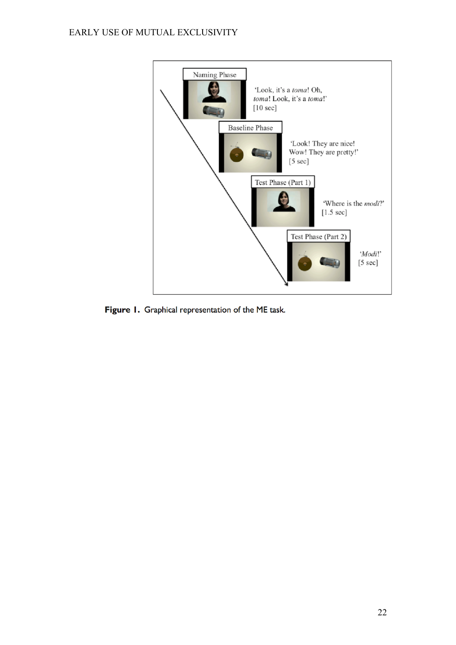

Figure 1. Graphical representation of the ME task.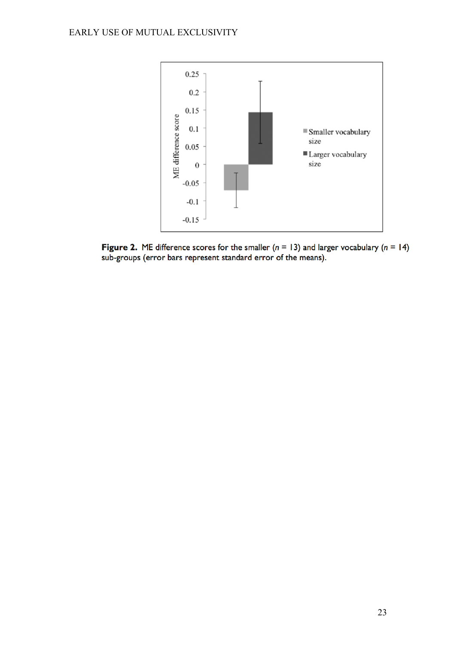

Figure 2. ME difference scores for the smaller ( $n = 13$ ) and larger vocabulary ( $n = 14$ ) sub-groups (error bars represent standard error of the means).